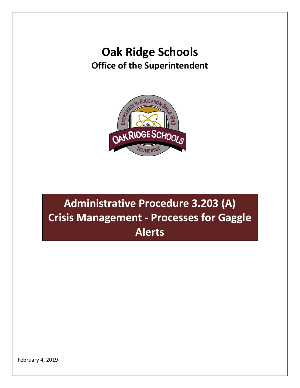## **Oak Ridge Schools Office of the Superintendent**



## **Administrative Procedure 3.203 (A) Crisis Management - Processes for Gaggle Alerts**

February 4, 2019